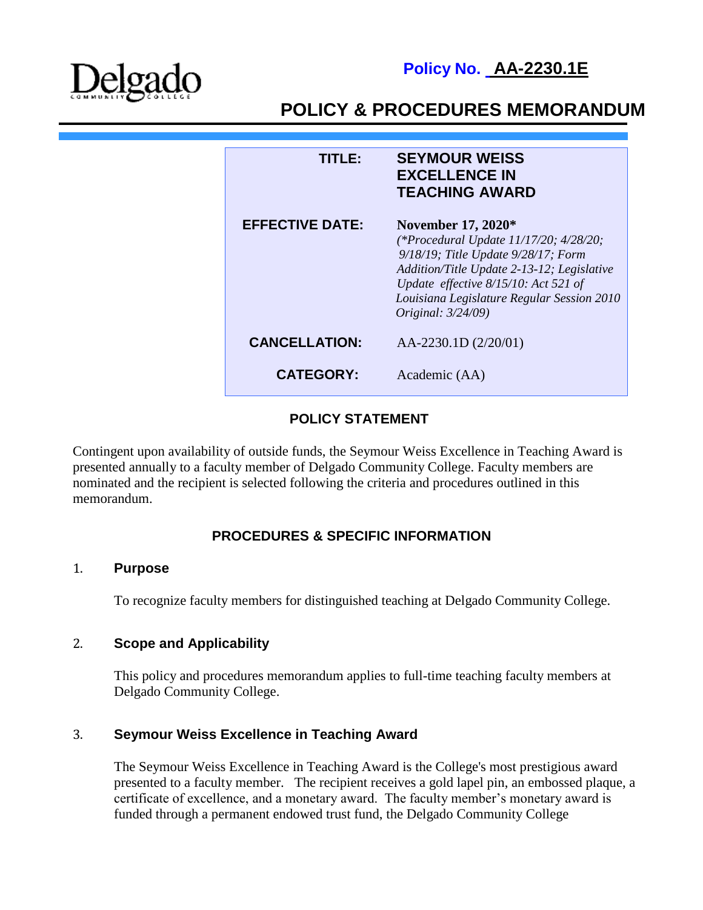

**Policy No. AA-2230.1E**

# **POLICY & PROCEDURES MEMORANDUM**

| TITI FA                | <b>SEYMOUR WEISS</b><br><b>EXCELLENCE IN</b><br><b>TEACHING AWARD</b>                                                                                                                                                                                                       |
|------------------------|-----------------------------------------------------------------------------------------------------------------------------------------------------------------------------------------------------------------------------------------------------------------------------|
| <b>EFFECTIVE DATE:</b> | <b>November 17, 2020*</b><br>(*Procedural Update 11/17/20; 4/28/20;<br>9/18/19; Title Update 9/28/17; Form<br>Addition/Title Update 2-13-12; Legislative<br>Update effective 8/15/10: Act 521 of<br>Louisiana Legislature Regular Session 2010<br><i>Original: 3/24/09)</i> |
| <b>CANCELLATION:</b>   | AA-2230.1D (2/20/01)                                                                                                                                                                                                                                                        |
| <b>CATEGORY:</b>       | Academic (AA)                                                                                                                                                                                                                                                               |

## **POLICY STATEMENT**

Contingent upon availability of outside funds, the Seymour Weiss Excellence in Teaching Award is presented annually to a faculty member of Delgado Community College. Faculty members are nominated and the recipient is selected following the criteria and procedures outlined in this memorandum.

# **PROCEDURES & SPECIFIC INFORMATION**

#### 1. **Purpose**

To recognize faculty members for distinguished teaching at Delgado Community College.

## 2. **Scope and Applicability**

This policy and procedures memorandum applies to full-time teaching faculty members at Delgado Community College.

## 3. **Seymour Weiss Excellence in Teaching Award**

The Seymour Weiss Excellence in Teaching Award is the College's most prestigious award presented to a faculty member. The recipient receives a gold lapel pin, an embossed plaque, a certificate of excellence, and a monetary award. The faculty member's monetary award is funded through a permanent endowed trust fund, the Delgado Community College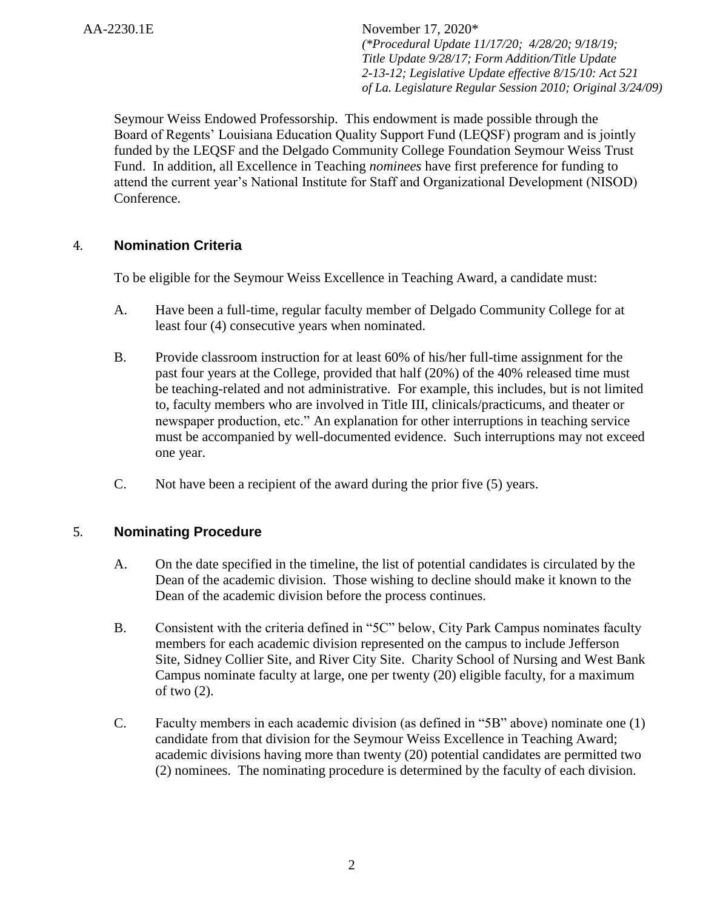Seymour Weiss Endowed Professorship. This endowment is made possible through the Board of Regents' Louisiana Education Quality Support Fund (LEQSF) program and is jointly funded by the LEQSF and the Delgado Community College Foundation Seymour Weiss Trust Fund. In addition, all Excellence in Teaching *nominees* have first preference for funding to attend the current year's National Institute for Staff and Organizational Development (NISOD) Conference.

# 4. **Nomination Criteria**

To be eligible for the Seymour Weiss Excellence in Teaching Award, a candidate must:

- A. Have been a full-time, regular faculty member of Delgado Community College for at least four (4) consecutive years when nominated.
- B. Provide classroom instruction for at least 60% of his/her full-time assignment for the past four years at the College, provided that half (20%) of the 40% released time must be teaching-related and not administrative. For example, this includes, but is not limited to, faculty members who are involved in Title III, clinicals/practicums, and theater or newspaper production, etc." An explanation for other interruptions in teaching service must be accompanied by well-documented evidence. Such interruptions may not exceed one year.
- C. Not have been a recipient of the award during the prior five (5) years.

## 5. **Nominating Procedure**

- A. On the date specified in the timeline, the list of potential candidates is circulated by the Dean of the academic division. Those wishing to decline should make it known to the Dean of the academic division before the process continues.
- B. Consistent with the criteria defined in "5C" below, City Park Campus nominates faculty members for each academic division represented on the campus to include Jefferson Site, Sidney Collier Site, and River City Site. Charity School of Nursing and West Bank Campus nominate faculty at large, one per twenty (20) eligible faculty, for a maximum of two (2).
- C. Faculty members in each academic division (as defined in "5B" above) nominate one (1) candidate from that division for the Seymour Weiss Excellence in Teaching Award; academic divisions having more than twenty (20) potential candidates are permitted two (2) nominees. The nominating procedure is determined by the faculty of each division.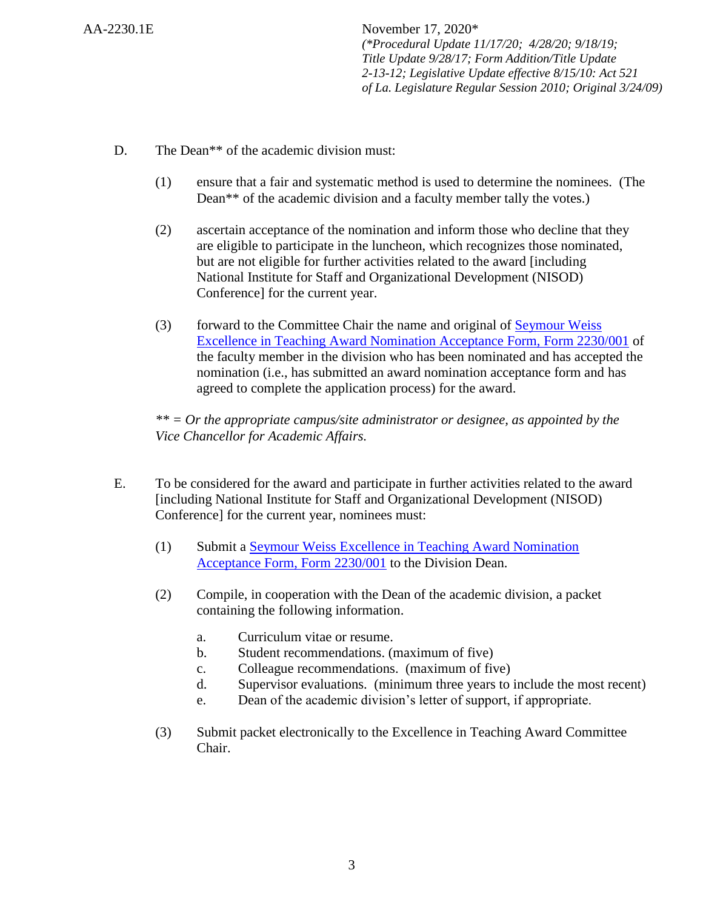- D. The Dean<sup>\*\*</sup> of the academic division must:
	- (1) ensure that a fair and systematic method is used to determine the nominees. (The Dean\*\* of the academic division and a faculty member tally the votes.)
	- (2) ascertain acceptance of the nomination and inform those who decline that they are eligible to participate in the luncheon, which recognizes those nominated, but are not eligible for further activities related to the award [including National Institute for Staff and Organizational Development (NISOD) Conference] for the current year.
	- (3) forward to the Committee Chair the name and original of [Seymour Weiss](http://docushare3.dcc.edu/docushare/dsweb/Get/Document-4424)  [Excellence in Teaching Award Nomination Acceptance Form, Form 2230/001](http://docushare3.dcc.edu/docushare/dsweb/Get/Document-4424) of the faculty member in the division who has been nominated and has accepted the nomination (i.e., has submitted an award nomination acceptance form and has agreed to complete the application process) for the award.

*\*\* = Or the appropriate campus/site administrator or designee, as appointed by the Vice Chancellor for Academic Affairs.*

- E. To be considered for the award and participate in further activities related to the award [including National Institute for Staff and Organizational Development (NISOD) Conference] for the current year, nominees must:
	- (1) Submit a [Seymour Weiss Excellence in Teaching Award Nomination](http://docushare3.dcc.edu/docushare/dsweb/Get/Document-4424)  [Acceptance Form, Form 2230/001](http://docushare3.dcc.edu/docushare/dsweb/Get/Document-4424) to the Division Dean.
	- (2) Compile, in cooperation with the Dean of the academic division, a packet containing the following information.
		- a. Curriculum vitae or resume.
		- b. Student recommendations. (maximum of five)
		- c. Colleague recommendations. (maximum of five)
		- d. Supervisor evaluations. (minimum three years to include the most recent)
		- e. Dean of the academic division's letter of support, if appropriate.
	- (3) Submit packet electronically to the Excellence in Teaching Award Committee Chair.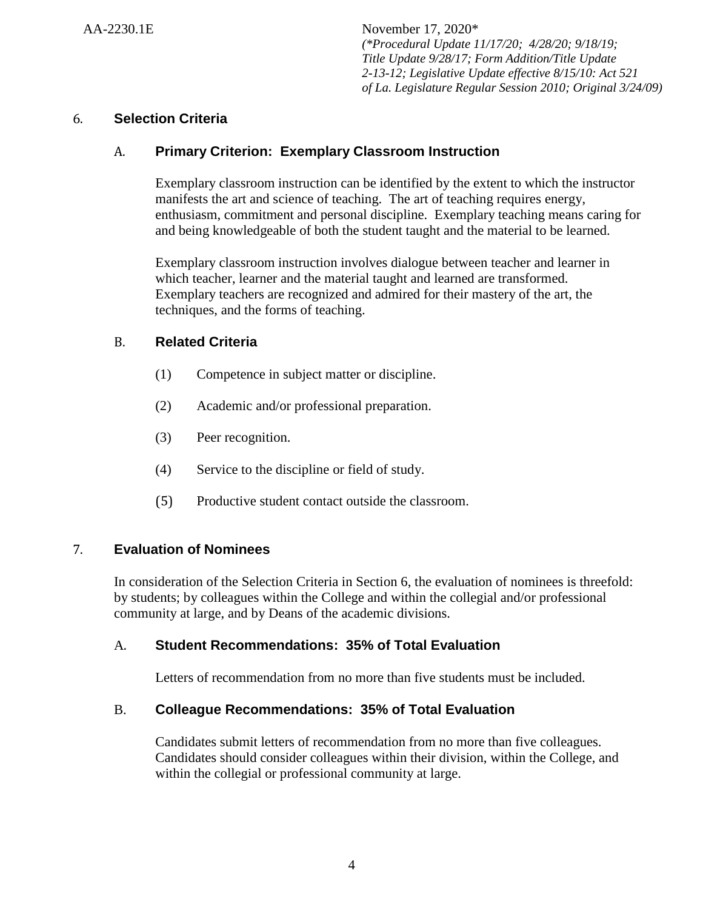# 6. **Selection Criteria**

# A. **Primary Criterion: Exemplary Classroom Instruction**

Exemplary classroom instruction can be identified by the extent to which the instructor manifests the art and science of teaching. The art of teaching requires energy, enthusiasm, commitment and personal discipline. Exemplary teaching means caring for and being knowledgeable of both the student taught and the material to be learned.

Exemplary classroom instruction involves dialogue between teacher and learner in which teacher, learner and the material taught and learned are transformed. Exemplary teachers are recognized and admired for their mastery of the art, the techniques, and the forms of teaching.

# B. **Related Criteria**

- (1) Competence in subject matter or discipline.
- (2) Academic and/or professional preparation.
- (3) Peer recognition.
- (4) Service to the discipline or field of study.
- (5) Productive student contact outside the classroom.

## 7. **Evaluation of Nominees**

In consideration of the Selection Criteria in Section 6, the evaluation of nominees is threefold: by students; by colleagues within the College and within the collegial and/or professional community at large, and by Deans of the academic divisions.

## A. **Student Recommendations: 35% of Total Evaluation**

Letters of recommendation from no more than five students must be included.

## B. **Colleague Recommendations: 35% of Total Evaluation**

Candidates submit letters of recommendation from no more than five colleagues. Candidates should consider colleagues within their division, within the College, and within the collegial or professional community at large.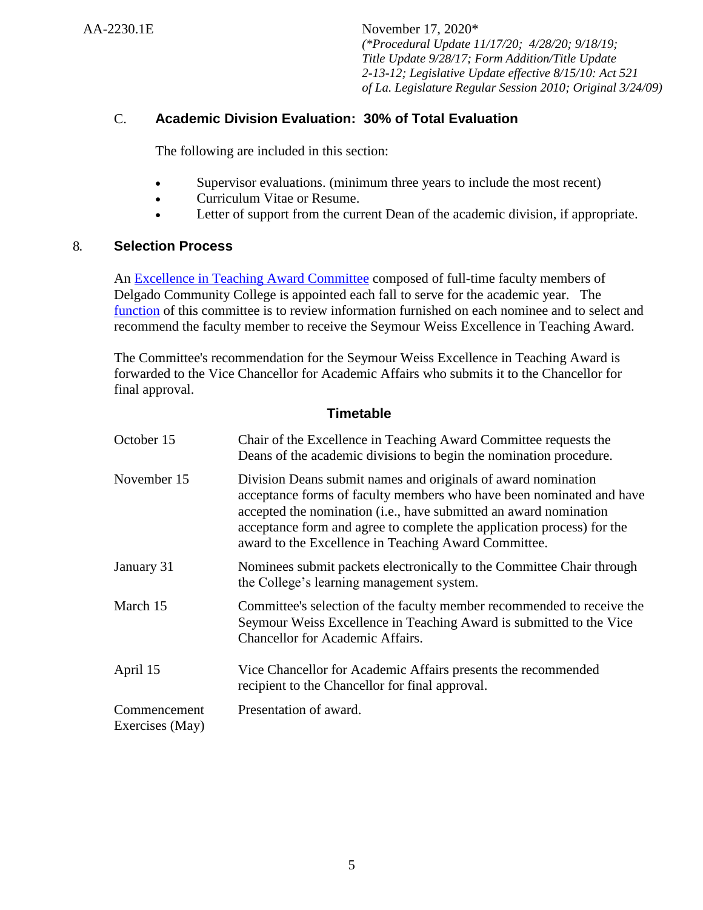# C. **Academic Division Evaluation: 30% of Total Evaluation**

The following are included in this section:

- Supervisor evaluations. (minimum three years to include the most recent)
- Curriculum Vitae or Resume.
- Letter of support from the current Dean of the academic division, if appropriate.

#### 8. **Selection Process**

An [Excellence in Teaching Award Committee](http://docushare3.dcc.edu/docushare/dsweb/Get/Document-1989) composed of full-time faculty members of Delgado Community College is appointed each fall to serve for the academic year. The [function](http://docushare3.dcc.edu/docushare/dsweb/Get/Document-135) of this committee is to review information furnished on each nominee and to select and recommend the faculty member to receive the Seymour Weiss Excellence in Teaching Award.

The Committee's recommendation for the Seymour Weiss Excellence in Teaching Award is forwarded to the Vice Chancellor for Academic Affairs who submits it to the Chancellor for final approval.

#### **Timetable**

| October 15                      | Chair of the Excellence in Teaching Award Committee requests the<br>Deans of the academic divisions to begin the nomination procedure.                                                                                                                                                                                                       |
|---------------------------------|----------------------------------------------------------------------------------------------------------------------------------------------------------------------------------------------------------------------------------------------------------------------------------------------------------------------------------------------|
| November 15                     | Division Deans submit names and originals of award nomination<br>acceptance forms of faculty members who have been nominated and have<br>accepted the nomination (i.e., have submitted an award nomination<br>acceptance form and agree to complete the application process) for the<br>award to the Excellence in Teaching Award Committee. |
| January 31                      | Nominees submit packets electronically to the Committee Chair through<br>the College's learning management system.                                                                                                                                                                                                                           |
| March 15                        | Committee's selection of the faculty member recommended to receive the<br>Seymour Weiss Excellence in Teaching Award is submitted to the Vice<br><b>Chancellor for Academic Affairs.</b>                                                                                                                                                     |
| April 15                        | Vice Chancellor for Academic Affairs presents the recommended<br>recipient to the Chancellor for final approval.                                                                                                                                                                                                                             |
| Commencement<br>Exercises (May) | Presentation of award.                                                                                                                                                                                                                                                                                                                       |